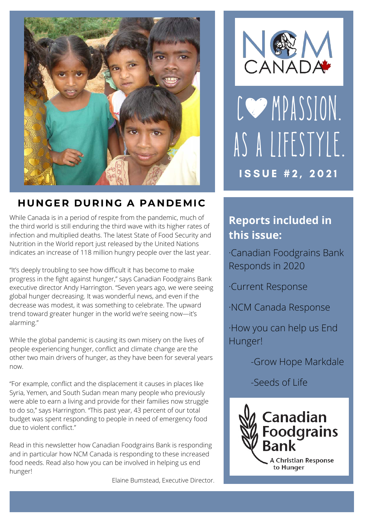

### **HUNGER DURING A PANDEMIC**

While Canada is in a period of respite from the pandemic, much of the third world is still enduring the third wave with its higher rates of infection and multiplied deaths. The latest State of Food Security and Nutrition in the World report just released by the United Nations indicates an increase of 118 million hungry people over the last year.

"It's deeply troubling to see how difficult it has become to make progress in the fight against hunger," says Canadian Foodgrains Bank executive director Andy Harrington. "Seven years ago, we were seeing global hunger decreasing. It was wonderful news, and even if the decrease was modest, it was something to celebrate. The upward trend toward greater hunger in the world we're seeing now—it's alarming."

While the global pandemic is causing its own misery on the lives of people experiencing hunger, conflict and climate change are the other two main drivers of hunger, as they have been for several years now.

"For example, conflict and the displacement it causes in places like Syria, Yemen, and South Sudan mean many people who previously were able to earn a living and provide for their families now struggle to do so," says Harrington. "This past year, 43 percent of our total budget was spent responding to people in need of emergency food due to violent conflict."

Read in this newsletter how Canadian Foodgrains Bank is responding and in particular how NCM Canada is responding to these increased food needs. Read also how you can be involved in helping us end hunger!

Elaine Bumstead, Executive Director.



CO MPASSION. AS A LIFESTYLE. **ISSUE #2, 2021** 

### **Reports included in this issue:**

·Canadian Foodgrains Bank Responds in 2020

·Current Response

·NCM Canada Response

·How you can help us End Hunger!

-Grow Hope Markdale

-Seeds of Life

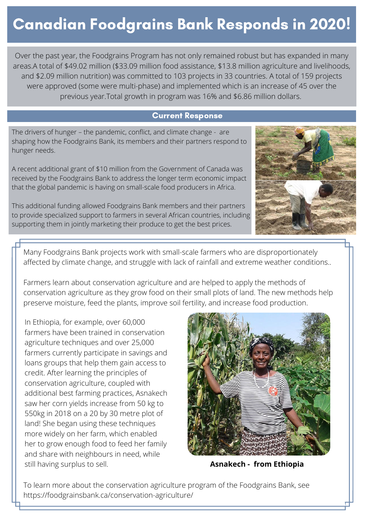## Canadian Foodgrains Bank Responds in 2020!

Over the past year, the Foodgrains Program has not only remained robust but has expanded in many areas.A total of \$49.02 million (\$33.09 million food assistance, \$13.8 million agriculture and livelihoods, and \$2.09 million nutrition) was committed to 103 projects in 33 countries. A total of 159 projects were approved (some were multi-phase) and implemented which is an increase of 45 over the previous year.Total growth in program was 16% and \$6.86 million dollars.

#### Current Response

Current Response to the current response to the current of the current of the current of the current of the current of the current of the current of the current of the current of the current of the current of the current o The drivers of hunger – the pandemic, conflict, and climate change - are shaping how the Foodgrains Bank, its members and their partners respond to hunger needs.

A recent additional grant of \$10 million from the Government of Canada was received by the Foodgrains Bank to address the longer term economic impact that the global pandemic is having on small-scale food producers in Africa.

This additional funding allowed Foodgrains Bank members and their partners to provide specialized support to farmers in several African countries, including supporting them in jointly marketing their produce to get the best prices.



Many Foodgrains Bank projects work with small-scale farmers who are disproportionately affected by climate change, and struggle with lack of rainfall and extreme weather conditions..

Farmers learn about conservation agriculture and are helped to apply the methods of conservation agriculture as they grow food on their small plots of land. The new methods help preserve moisture, feed the plants, improve soil fertility, and increase food production.

In Ethiopia, for example, over 60,000 farmers have been trained in conservation agriculture techniques and over 25,000 farmers currently participate in savings and loans groups that help them gain access to credit. After learning the principles of conservation agriculture, coupled with additional best farming practices, Asnakech saw her corn yields increase from 50 kg to 550kg in 2018 on a 20 by 30 metre plot of land! She began using these techniques more widely on her farm, which enabled her to grow enough food to feed her family and share with neighbours in need, while still having surplus to sell. **Asnakech - from Ethiopia** 



To learn more about the conservation agriculture program of the Foodgrains Bank, see https://foodgrainsbank.ca/conservation-agriculture/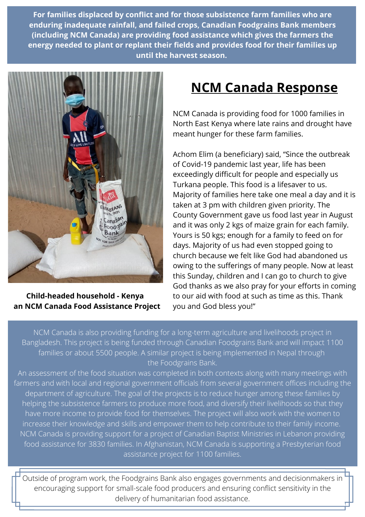**For families displaced by conflict and for those subsistence farm families who are enduring inadequate rainfall, and failed crops, Canadian Foodgrains Bank members (including NCM Canada) are providing food assistance which gives the farmers the energy needed to plant or replant their fields and provides food for their families up until the harvest season.**



**Child-headed household - Kenya an NCM Canada Food Assistance Project**

## **NCM Canada Response**

NCM Canada is providing food for 1000 families in North East Kenya where late rains and drought have meant hunger for these farm families.

Achom Elim (a beneficiary) said, "Since the outbreak of Covid-19 pandemic last year, life has been exceedingly difficult for people and especially us Turkana people. This food is a lifesaver to us. Majority of families here take one meal a day and it is taken at 3 pm with children given priority. The County Government gave us food last year in August and it was only 2 kgs of maize grain for each family. Yours is 50 kgs; enough for a family to feed on for days. Majority of us had even stopped going to church because we felt like God had abandoned us owing to the sufferings of many people. Now at least this Sunday, children and I can go to church to give God thanks as we also pray for your efforts in coming to our aid with food at such as time as this. Thank you and God bless you!"

NCM Canada is also providing funding for a long-term agriculture and livelihoods project in Bangladesh. This project is being funded through Canadian Foodgrains Bank and will impact 1100 families or about 5500 people. A similar project is being implemented in Nepal through the Foodgrains Bank.

An assessment of the food situation was completed in both contexts along with many meetings with farmers and with local and regional government officials from several government offices including the department of agriculture. The goal of the projects is to reduce hunger among these families by helping the subsistence farmers to produce more food, and diversify their livelihoods so that they have more income to provide food for themselves. The project will also work with the women to increase their knowledge and skills and empower them to help contribute to their family income. NCM Canada is providing support for a project of Canadian Baptist Ministries in Lebanon providing food assistance for 3830 families. In Afghanistan, NCM Canada is supporting a Presbyterian food assistance project for 1100 families.

Outside of program work, the Foodgrains Bank also engages governments and decisionmakers in encouraging support for small-scale food producers and ensuring conflict sensitivity in the delivery of humanitarian food assistance.